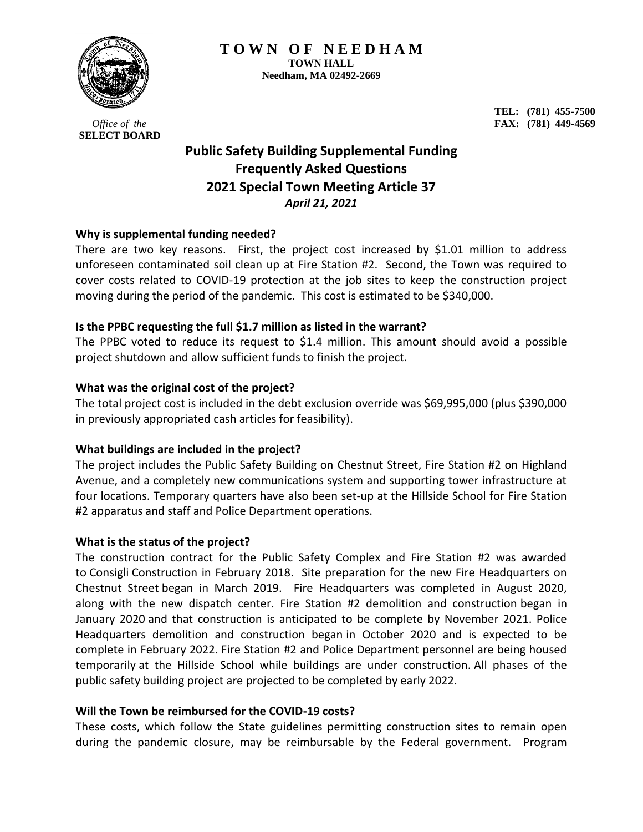

*Office of the*  **SELECT BOARD**

**TEL: (781) 455-7500 FAX: (781) 449-4569**

# **Public Safety Building Supplemental Funding Frequently Asked Questions 2021 Special Town Meeting Article 37** *April 21, 2021*

## **Why is supplemental funding needed?**

There are two key reasons. First, the project cost increased by \$1.01 million to address unforeseen contaminated soil clean up at Fire Station #2. Second, the Town was required to cover costs related to COVID-19 protection at the job sites to keep the construction project moving during the period of the pandemic. This cost is estimated to be \$340,000.

## **Is the PPBC requesting the full \$1.7 million as listed in the warrant?**

The PPBC voted to reduce its request to \$1.4 million. This amount should avoid a possible project shutdown and allow sufficient funds to finish the project.

## **What was the original cost of the project?**

The total project cost is included in the debt exclusion override was \$69,995,000 (plus \$390,000 in previously appropriated cash articles for feasibility).

### **What buildings are included in the project?**

The project includes the Public Safety Building on Chestnut Street, Fire Station #2 on Highland Avenue, and a completely new communications system and supporting tower infrastructure at four locations. Temporary quarters have also been set-up at the Hillside School for Fire Station #2 apparatus and staff and Police Department operations.

### **What is the status of the project?**

The construction contract for the Public Safety Complex and Fire Station #2 was awarded to Consigli Construction in February 2018. Site preparation for the new Fire Headquarters on Chestnut Street began in March 2019. Fire Headquarters was completed in August 2020, along with the new dispatch center. Fire Station #2 demolition and construction began in January 2020 and that construction is anticipated to be complete by November 2021. Police Headquarters demolition and construction began in October 2020 and is expected to be complete in February 2022. Fire Station #2 and Police Department personnel are being housed temporarily at the Hillside School while buildings are under construction. All phases of the public safety building project are projected to be completed by early 2022.

### **Will the Town be reimbursed for the COVID-19 costs?**

These costs, which follow the State guidelines permitting construction sites to remain open during the pandemic closure, may be reimbursable by the Federal government. Program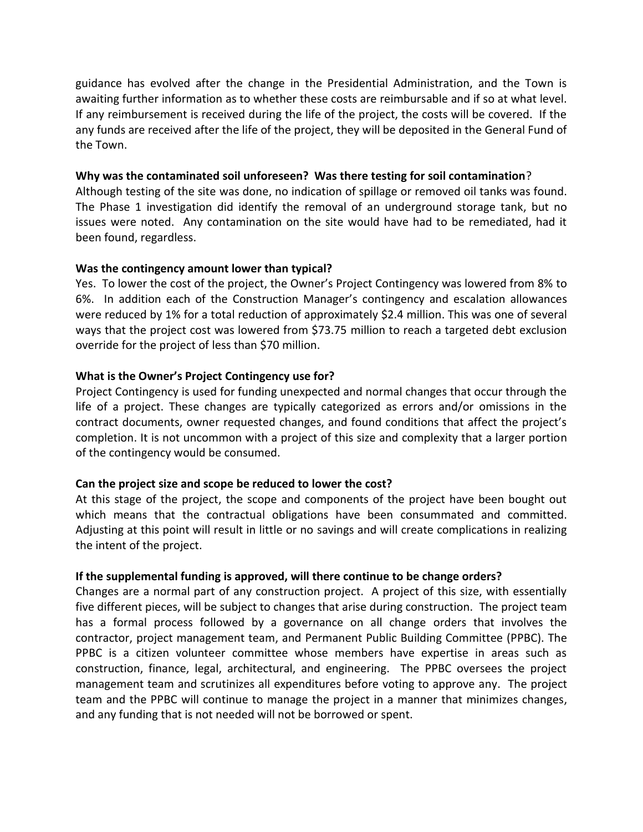guidance has evolved after the change in the Presidential Administration, and the Town is awaiting further information as to whether these costs are reimbursable and if so at what level. If any reimbursement is received during the life of the project, the costs will be covered. If the any funds are received after the life of the project, they will be deposited in the General Fund of the Town.

### **Why was the contaminated soil unforeseen? Was there testing for soil contamination**?

Although testing of the site was done, no indication of spillage or removed oil tanks was found. The Phase 1 investigation did identify the removal of an underground storage tank, but no issues were noted. Any contamination on the site would have had to be remediated, had it been found, regardless.

### **Was the contingency amount lower than typical?**

Yes. To lower the cost of the project, the Owner's Project Contingency was lowered from 8% to 6%. In addition each of the Construction Manager's contingency and escalation allowances were reduced by 1% for a total reduction of approximately \$2.4 million. This was one of several ways that the project cost was lowered from \$73.75 million to reach a targeted debt exclusion override for the project of less than \$70 million.

### **What is the Owner's Project Contingency use for?**

Project Contingency is used for funding unexpected and normal changes that occur through the life of a project. These changes are typically categorized as errors and/or omissions in the contract documents, owner requested changes, and found conditions that affect the project's completion. It is not uncommon with a project of this size and complexity that a larger portion of the contingency would be consumed.

### **Can the project size and scope be reduced to lower the cost?**

At this stage of the project, the scope and components of the project have been bought out which means that the contractual obligations have been consummated and committed. Adjusting at this point will result in little or no savings and will create complications in realizing the intent of the project.

### **If the supplemental funding is approved, will there continue to be change orders?**

Changes are a normal part of any construction project. A project of this size, with essentially five different pieces, will be subject to changes that arise during construction. The project team has a formal process followed by a governance on all change orders that involves the contractor, project management team, and Permanent Public Building Committee (PPBC). The PPBC is a citizen volunteer committee whose members have expertise in areas such as construction, finance, legal, architectural, and engineering. The PPBC oversees the project management team and scrutinizes all expenditures before voting to approve any. The project team and the PPBC will continue to manage the project in a manner that minimizes changes, and any funding that is not needed will not be borrowed or spent.